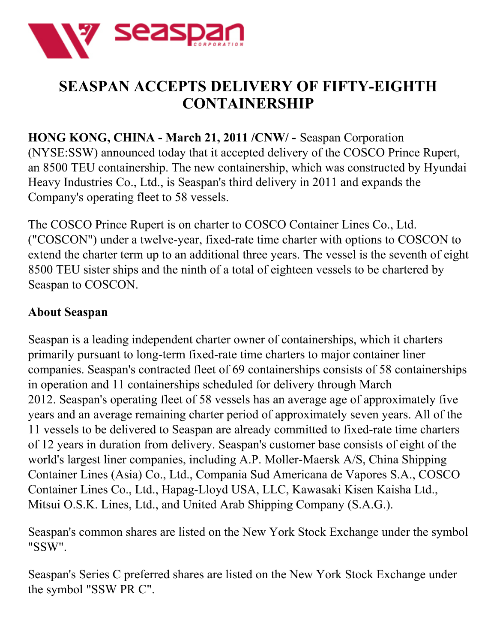

## **SEASPAN ACCEPTS DELIVERY OF FIFTY-EIGHTH CONTAINERSHIP**

**HONG KONG, CHINA - March 21, 2011 /CNW/ -** Seaspan Corporation (NYSE:SSW) announced today that it accepted delivery of the COSCO Prince Rupert, an 8500 TEU containership. The new containership, which was constructed by Hyundai Heavy Industries Co., Ltd., is Seaspan's third delivery in 2011 and expands the Company's operating fleet to 58 vessels.

The COSCO Prince Rupert is on charter to COSCO Container Lines Co., Ltd. ("COSCON") under a twelve-year, fixed-rate time charter with options to COSCON to extend the charter term up to an additional three years. The vessel is the seventh of eight 8500 TEU sister ships and the ninth of a total of eighteen vessels to be chartered by Seaspan to COSCON.

## **About Seaspan**

Seaspan is a leading independent charter owner of containerships, which it charters primarily pursuant to long-term fixed-rate time charters to major container liner companies. Seaspan's contracted fleet of 69 containerships consists of 58 containerships in operation and 11 containerships scheduled for delivery through March 2012. Seaspan's operating fleet of 58 vessels has an average age of approximately five years and an average remaining charter period of approximately seven years. All of the 11 vessels to be delivered to Seaspan are already committed to fixed-rate time charters of 12 years in duration from delivery. Seaspan's customer base consists of eight of the world's largest liner companies, including A.P. Moller-Maersk A/S, China Shipping Container Lines (Asia) Co., Ltd., Compania Sud Americana de Vapores S.A., COSCO Container Lines Co., Ltd., Hapag-Lloyd USA, LLC, Kawasaki Kisen Kaisha Ltd., Mitsui O.S.K. Lines, Ltd., and United Arab Shipping Company (S.A.G.).

Seaspan's common shares are listed on the New York Stock Exchange under the symbol "SSW".

Seaspan's Series C preferred shares are listed on the New York Stock Exchange under the symbol "SSW PR C".